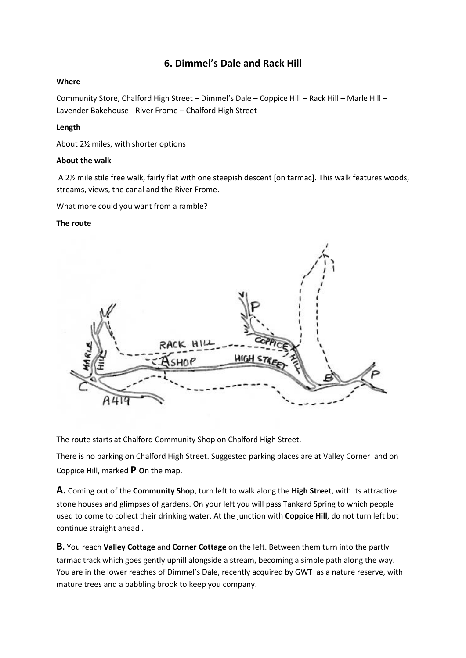# **6. Dimmel's Dale and Rack Hill**

#### **Where**

Community Store, Chalford High Street – Dimmel's Dale – Coppice Hill – Rack Hill – Marle Hill – Lavender Bakehouse - River Frome – Chalford High Street

### **Length**

About 2½ miles, with shorter options

#### **About the walk**

A 2½ mile stile free walk, fairly flat with one steepish descent [on tarmac]. This walk features woods, streams, views, the canal and the River Frome.

What more could you want from a ramble?

#### **The route**



The route starts at Chalford Community Shop on Chalford High Street.

There is no parking on Chalford High Street. Suggested parking places are at Valley Corner and on Coppice Hill, marked **P** on the map.

**A.** Coming out of the **Community Shop**, turn left to walk along the **High Street**, with its attractive stone houses and glimpses of gardens. On your left you will pass Tankard Spring to which people used to come to collect their drinking water. At the junction with **Coppice Hill**, do not turn left but continue straight ahead .

**B.** You reach **Valley Cottage** and **Corner Cottage** on the left. Between them turn into the partly tarmac track which goes gently uphill alongside a stream, becoming a simple path along the way. You are in the lower reaches of Dimmel's Dale, recently acquired by GWT as a nature reserve, with mature trees and a babbling brook to keep you company.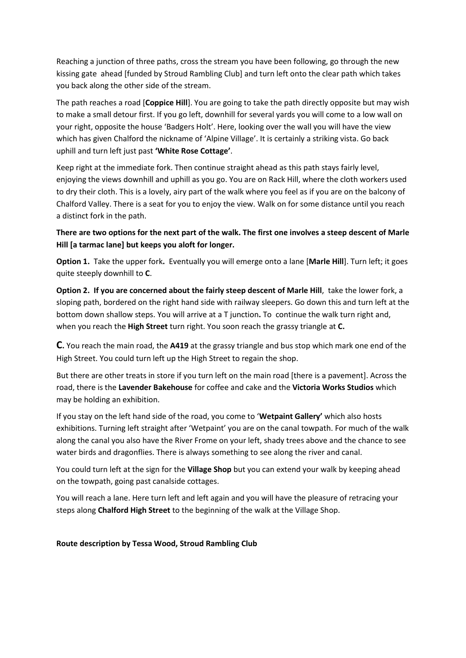Reaching a junction of three paths, cross the stream you have been following, go through the new kissing gate ahead [funded by Stroud Rambling Club] and turn left onto the clear path which takes you back along the other side of the stream.

The path reaches a road [**Coppice Hill**]. You are going to take the path directly opposite but may wish to make a small detour first. If you go left, downhill for several yards you will come to a low wall on your right, opposite the house 'Badgers Holt'. Here, looking over the wall you will have the view which has given Chalford the nickname of 'Alpine Village'. It is certainly a striking vista. Go back uphill and turn left just past **'White Rose Cottage'**.

Keep right at the immediate fork. Then continue straight ahead as this path stays fairly level, enjoying the views downhill and uphill as you go. You are on Rack Hill, where the cloth workers used to dry their cloth. This is a lovely, airy part of the walk where you feel as if you are on the balcony of Chalford Valley. There is a seat for you to enjoy the view. Walk on for some distance until you reach a distinct fork in the path.

# **There are two options for the next part of the walk. The first one involves a steep descent of Marle Hill [a tarmac lane] but keeps you aloft for longer.**

**Option 1.** Take the upper fork**.** Eventually you will emerge onto a lane [**Marle Hill**]. Turn left; it goes quite steeply downhill to **C**.

**Option 2. If you are concerned about the fairly steep descent of Marle Hill**, take the lower fork, a sloping path, bordered on the right hand side with railway sleepers. Go down this and turn left at the bottom down shallow steps. You will arrive at a T junction**.** Tocontinue the walk turn right and, when you reach the **High Street** turn right. You soon reach the grassy triangle at **C.**

**C.** You reach the main road, the **A419** at the grassy triangle and bus stop which mark one end of the High Street. You could turn left up the High Street to regain the shop.

But there are other treats in store if you turn left on the main road [there is a pavement]. Across the road, there is the **Lavender Bakehouse** for coffee and cake and the **Victoria Works Studios** which may be holding an exhibition.

If you stay on the left hand side of the road, you come to '**Wetpaint Gallery'** which also hosts exhibitions. Turning left straight after 'Wetpaint' you are on the canal towpath. For much of the walk along the canal you also have the River Frome on your left, shady trees above and the chance to see water birds and dragonflies. There is always something to see along the river and canal.

You could turn left at the sign for the **Village Shop** but you can extend your walk by keeping ahead on the towpath, going past canalside cottages.

You will reach a lane. Here turn left and left again and you will have the pleasure of retracing your steps along **Chalford High Street** to the beginning of the walk at the Village Shop.

## **Route description by Tessa Wood, Stroud Rambling Club**